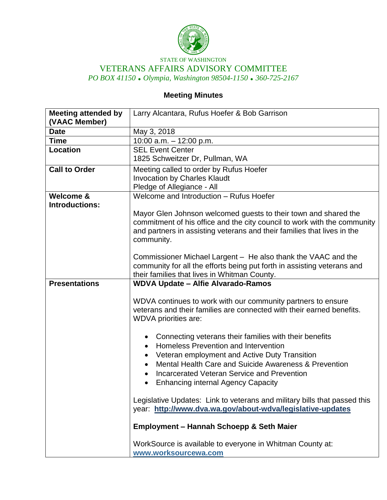

STATE OF WASHINGTON VETERANS AFFAIRS ADVISORY COMMITTEE *PO BOX 41150 Olympia, Washington 98504-1150 360-725-2167*

# **Meeting Minutes**

| <b>Meeting attended by</b> | Larry Alcantara, Rufus Hoefer & Bob Garrison                              |
|----------------------------|---------------------------------------------------------------------------|
| (VAAC Member)              |                                                                           |
| <b>Date</b>                | May 3, 2018                                                               |
| <b>Time</b>                | 10:00 a.m. $-$ 12:00 p.m.                                                 |
| <b>Location</b>            | <b>SEL Event Center</b>                                                   |
|                            | 1825 Schweitzer Dr, Pullman, WA                                           |
| <b>Call to Order</b>       | Meeting called to order by Rufus Hoefer                                   |
|                            | <b>Invocation by Charles Klaudt</b>                                       |
|                            | Pledge of Allegiance - All                                                |
| Welcome &                  | Welcome and Introduction - Rufus Hoefer                                   |
| <b>Introductions:</b>      |                                                                           |
|                            | Mayor Glen Johnson welcomed guests to their town and shared the           |
|                            | commitment of his office and the city council to work with the community  |
|                            | and partners in assisting veterans and their families that lives in the   |
|                            | community.                                                                |
|                            |                                                                           |
|                            | Commissioner Michael Largent - He also thank the VAAC and the             |
|                            | community for all the efforts being put forth in assisting veterans and   |
|                            | their families that lives in Whitman County.                              |
| <b>Presentations</b>       | <b>WDVA Update - Alfie Alvarado-Ramos</b>                                 |
|                            | WDVA continues to work with our community partners to ensure              |
|                            | veterans and their families are connected with their earned benefits.     |
|                            | <b>WDVA</b> priorities are:                                               |
|                            |                                                                           |
|                            | Connecting veterans their families with their benefits<br>$\bullet$       |
|                            | Homeless Prevention and Intervention                                      |
|                            | Veteran employment and Active Duty Transition                             |
|                            | Mental Health Care and Suicide Awareness & Prevention<br>$\bullet$        |
|                            | Incarcerated Veteran Service and Prevention                               |
|                            | <b>Enhancing internal Agency Capacity</b>                                 |
|                            |                                                                           |
|                            | Legislative Updates: Link to veterans and military bills that passed this |
|                            | year: http://www.dva.wa.gov/about-wdva/legislative-updates                |
|                            |                                                                           |
|                            | <b>Employment - Hannah Schoepp &amp; Seth Maier</b>                       |
|                            | WorkSource is available to everyone in Whitman County at:                 |
|                            | www.worksourcewa.com                                                      |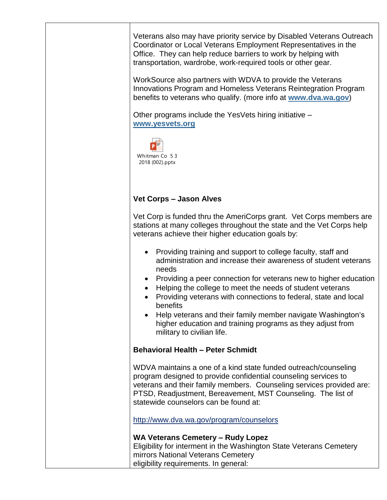Veterans also may have priority service by Disabled Veterans Outreach Coordinator or Local Veterans Employment Representatives in the Office. They can help reduce barriers to work by helping with transportation, wardrobe, work-required tools or other gear.

WorkSource also partners with WDVA to provide the Veterans Innovations Program and Homeless Veterans Reintegration Program benefits to veterans who qualify. (more info at **[www.dva.wa.gov](http://www.dva.wa.gov/)**)

Other programs include the YesVets hiring initiative – **[www.yesvets.org](http://www.yesvets.org/)**



## **Vet Corps – Jason Alves**

Vet Corp is funded thru the AmeriCorps grant. Vet Corps members are stations at many colleges throughout the state and the Vet Corps help veterans achieve their higher education goals by:

- Providing training and support to college faculty, staff and administration and increase their awareness of student veterans needs
- Providing a peer connection for veterans new to higher education
- Helping the college to meet the needs of student veterans
- Providing veterans with connections to federal, state and local benefits
- Help veterans and their family member navigate Washington's higher education and training programs as they adjust from military to civilian life.

#### **Behavioral Health – Peter Schmidt**

WDVA maintains a one of a kind state funded outreach/counseling program designed to provide confidential counseling services to veterans and their family members. Counseling services provided are: PTSD, Readjustment, Bereavement, MST Counseling. The list of statewide counselors can be found at:

http://www.dva.wa.gov/program/counselors

#### **WA Veterans Cemetery – Rudy Lopez**

Eligibility for interment in the Washington State Veterans Cemetery mirrors National Veterans Cemetery eligibility requirements. In general: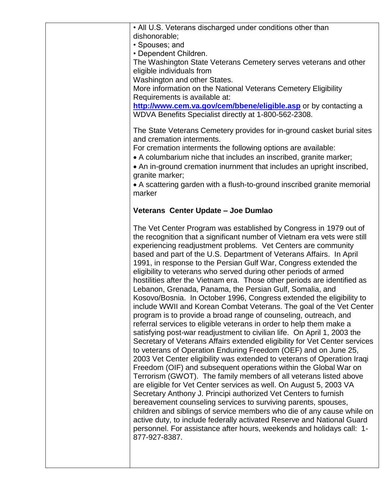• All U.S. Veterans discharged under conditions other than dishonorable;

• Spouses; and

• Dependent Children.

The Washington State Veterans Cemetery serves veterans and other eligible individuals from

Washington and other States.

More information on the National Veterans Cemetery Eligibility Requirements is available at:

**http://www.cem.va.gov/cem/bbene/eligible.asp** or by contacting a WDVA Benefits Specialist directly at 1-800-562-2308.

The State Veterans Cemetery provides for in-ground casket burial sites and cremation interments.

For cremation interments the following options are available:

A columbarium niche that includes an inscribed, granite marker;

 An in-ground cremation inurnment that includes an upright inscribed, granite marker;

 A scattering garden with a flush-to-ground inscribed granite memorial marker

### **Veterans Center Update – Joe Dumlao**

The Vet Center Program was established by Congress in 1979 out of the recognition that a significant number of Vietnam era vets were still experiencing readjustment problems. Vet Centers are community based and part of the U.S. Department of Veterans Affairs. In April 1991, in response to the Persian Gulf War, Congress extended the eligibility to veterans who served during other periods of armed hostilities after the Vietnam era. Those other periods are identified as Lebanon, Grenada, Panama, the Persian Gulf, Somalia, and Kosovo/Bosnia. In October 1996, Congress extended the eligibility to include WWII and Korean Combat Veterans. The goal of the Vet Center program is to provide a broad range of counseling, outreach, and referral services to eligible veterans in order to help them make a satisfying post-war readjustment to civilian life. On April 1, 2003 the Secretary of Veterans Affairs extended eligibility for Vet Center services to veterans of Operation Enduring Freedom (OEF) and on June 25, 2003 Vet Center eligibility was extended to veterans of Operation Iraqi Freedom (OIF) and subsequent operations within the Global War on Terrorism (GWOT). The family members of all veterans listed above are eligible for Vet Center services as well. On August 5, 2003 VA Secretary Anthony J. Principi authorized Vet Centers to furnish bereavement counseling services to surviving parents, spouses, children and siblings of service members who die of any cause while on active duty, to include federally activated Reserve and National Guard personnel. For assistance after hours, weekends and holidays call: 1- 877-927-8387.